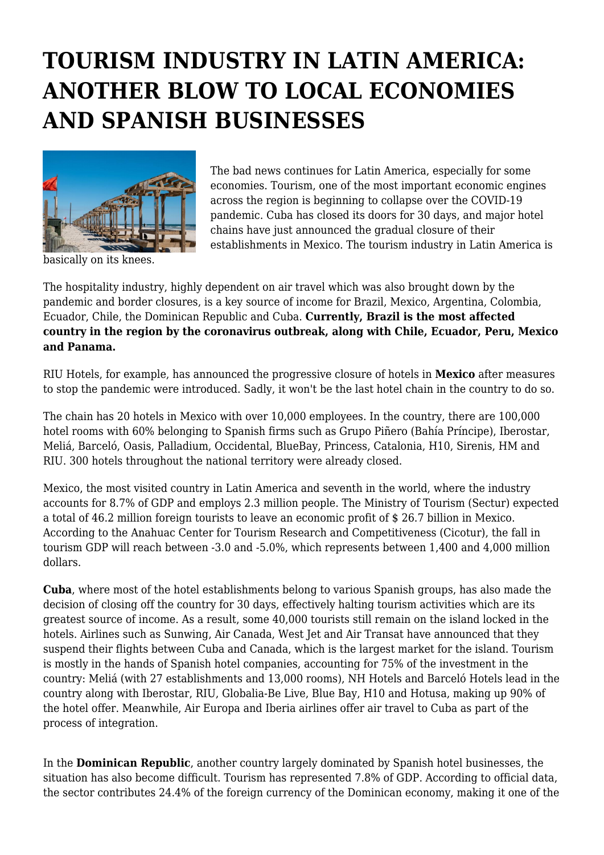## **TOURISM INDUSTRY IN LATIN AMERICA: ANOTHER BLOW TO LOCAL ECONOMIES AND SPANISH BUSINESSES**



The bad news continues for Latin America, especially for some economies. Tourism, one of the most important economic engines across the region is beginning to collapse over the COVID-19 pandemic. Cuba has closed its doors for 30 days, and major hotel chains have just announced the gradual closure of their establishments in Mexico. The tourism industry in Latin America is

basically on its knees.

The hospitality industry, highly dependent on air travel which was also brought down by the pandemic and border closures, is a key source of income for Brazil, Mexico, Argentina, Colombia, Ecuador, Chile, the Dominican Republic and Cuba. **Currently, Brazil is the most affected country in the region by the coronavirus outbreak, along with Chile, Ecuador, Peru, Mexico and Panama.**

RIU Hotels, for example, has announced the progressive closure of hotels in **Mexico** after measures to stop the pandemic were introduced. Sadly, it won't be the last hotel chain in the country to do so.

The chain has 20 hotels in Mexico with over 10,000 employees. In the country, there are 100,000 hotel rooms with 60% belonging to Spanish firms such as Grupo Piñero (Bahía Príncipe), Iberostar, Meliá, Barceló, Oasis, Palladium, Occidental, BlueBay, Princess, Catalonia, H10, Sirenis, HM and RIU. 300 hotels throughout the national territory were already closed.

Mexico, the most visited country in Latin America and seventh in the world, where the industry accounts for 8.7% of GDP and employs 2.3 million people. The Ministry of Tourism (Sectur) expected a total of 46.2 million foreign tourists to leave an economic profit of \$ 26.7 billion in Mexico. According to the Anahuac Center for Tourism Research and Competitiveness (Cicotur), the fall in tourism GDP will reach between -3.0 and -5.0%, which represents between 1,400 and 4,000 million dollars.

**Cuba**, where most of the hotel establishments belong to various Spanish groups, has also made the decision of closing off the country for 30 days, effectively halting tourism activities which are its greatest source of income. As a result, some 40,000 tourists still remain on the island locked in the hotels. Airlines such as Sunwing, Air Canada, West Jet and Air Transat have announced that they suspend their flights between Cuba and Canada, which is the largest market for the island. Tourism is mostly in the hands of Spanish hotel companies, accounting for 75% of the investment in the country: Meliá (with 27 establishments and 13,000 rooms), NH Hotels and Barceló Hotels lead in the country along with Iberostar, RIU, Globalia-Be Live, Blue Bay, H10 and Hotusa, making up 90% of the hotel offer. Meanwhile, Air Europa and Iberia airlines offer air travel to Cuba as part of the process of integration.

In the **Dominican Republic**, another country largely dominated by Spanish hotel businesses, the situation has also become difficult. Tourism has represented 7.8% of GDP. According to official data, the sector contributes 24.4% of the foreign currency of the Dominican economy, making it one of the